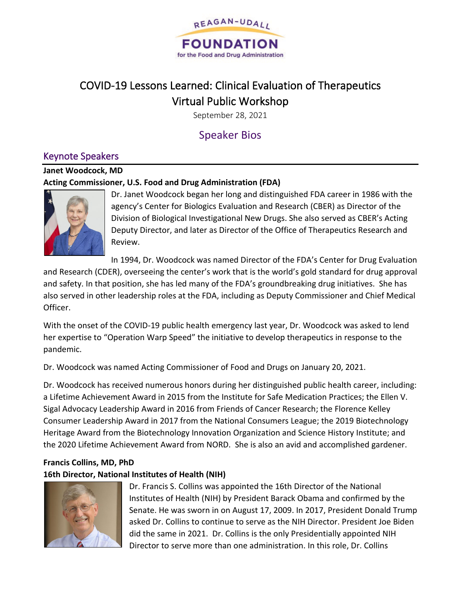

# COVID-19 Lessons Learned: Clinical Evaluation of Therapeutics Virtual Public Workshop

September 28, 2021

# Speaker Bios

# Keynote Speakers

# **Janet Woodcock, MD Acting Commissioner, U.S. Food and Drug Administration (FDA)**



Dr. Janet Woodcock began her long and distinguished FDA career in 1986 with the agency's Center for Biologics Evaluation and Research (CBER) as Director of the Division of Biological Investigational New Drugs. She also served as CBER's Acting Deputy Director, and later as Director of the Office of Therapeutics Research and Review.

In 1994, Dr. Woodcock was named Director of the FDA's Center for Drug Evaluation

and Research (CDER), overseeing the center's work that is the world's gold standard for drug approval and safety. In that position, she has led many of the FDA's groundbreaking drug initiatives. She has also served in other leadership roles at the FDA, including as Deputy Commissioner and Chief Medical Officer.

With the onset of the COVID-19 public health emergency last year, Dr. Woodcock was asked to lend her expertise to "Operation Warp Speed" the initiative to develop therapeutics in response to the pandemic.

Dr. Woodcock was named Acting Commissioner of Food and Drugs on January 20, 2021.

Dr. Woodcock has received numerous honors during her distinguished public health career, including: a Lifetime Achievement Award in 2015 from the Institute for Safe Medication Practices; the Ellen V. Sigal Advocacy Leadership Award in 2016 from Friends of Cancer Research; the Florence Kelley Consumer Leadership Award in 2017 from the National Consumers League; the 2019 Biotechnology Heritage Award from the Biotechnology Innovation Organization and Science History Institute; and the 2020 Lifetime Achievement Award from NORD. She is also an avid and accomplished gardener.

# **Francis Collins, MD, PhD 16th Director, National Institutes of Health (NIH)**



Dr. Francis S. Collins was appointed the 16th Director of the National Institutes of Health (NIH) by President Barack Obama and confirmed by the Senate. He was sworn in on August 17, 2009. In 2017, President Donald Trump asked Dr. Collins to continue to serve as the NIH Director. President Joe Biden did the same in 2021. Dr. Collins is the only Presidentially appointed NIH Director to serve more than one administration. In this role, Dr. Collins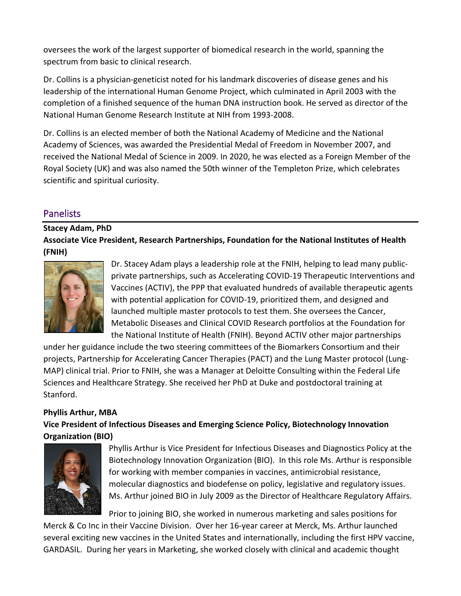oversees the work of the largest supporter of biomedical research in the world, spanning the spectrum from basic to clinical research.

Dr. Collins is a physician-geneticist noted for his landmark discoveries of disease genes and his leadership of the international Human Genome Project, which culminated in April 2003 with the completion of a finished sequence of the human DNA instruction book. He served as director of the National Human Genome Research Institute at NIH from 1993-2008.

Dr. Collins is an elected member of both the National Academy of Medicine and the National Academy of Sciences, was awarded the Presidential Medal of Freedom in November 2007, and received the National Medal of Science in 2009. In 2020, he was elected as a Foreign Member of the Royal Society (UK) and was also named the 50th winner of the Templeton Prize, which celebrates scientific and spiritual curiosity.

# Panelists

**Stacey Adam, PhD Associate Vice President, Research Partnerships, Foundation for the National Institutes of Health (FNIH)**



Dr. Stacey Adam plays a leadership role at the FNIH, helping to lead many publicprivate partnerships, such as Accelerating COVID-19 Therapeutic Interventions and Vaccines (ACTIV), the PPP that evaluated hundreds of available therapeutic agents with potential application for COVID-19, prioritized them, and designed and launched multiple master protocols to test them. She oversees the Cancer, Metabolic Diseases and Clinical COVID Research portfolios at the Foundation for the National Institute of Health (FNIH). Beyond ACTIV other major partnerships

under her guidance include the two steering committees of the Biomarkers Consortium and their projects, Partnership for Accelerating Cancer Therapies (PACT) and the Lung Master protocol (Lung-MAP) clinical trial. Prior to FNIH, she was a Manager at Deloitte Consulting within the Federal Life Sciences and Healthcare Strategy. She received her PhD at Duke and postdoctoral training at Stanford.

## **Phyllis Arthur, MBA**

**Vice President of Infectious Diseases and Emerging Science Policy, Biotechnology Innovation Organization (BIO)**



Phyllis Arthur is Vice President for Infectious Diseases and Diagnostics Policy at the Biotechnology Innovation Organization (BIO). In this role Ms. Arthur is responsible for working with member companies in vaccines, antimicrobial resistance, molecular diagnostics and biodefense on policy, legislative and regulatory issues. Ms. Arthur joined BIO in July 2009 as the Director of Healthcare Regulatory Affairs.

Prior to joining BIO, she worked in numerous marketing and sales positions for

Merck & Co Inc in their Vaccine Division. Over her 16-year career at Merck, Ms. Arthur launched several exciting new vaccines in the United States and internationally, including the first HPV vaccine, GARDASIL. During her years in Marketing, she worked closely with clinical and academic thought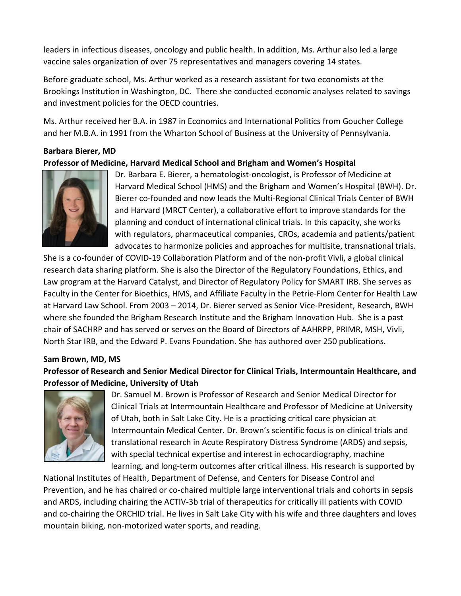leaders in infectious diseases, oncology and public health. In addition, Ms. Arthur also led a large vaccine sales organization of over 75 representatives and managers covering 14 states.

Before graduate school, Ms. Arthur worked as a research assistant for two economists at the Brookings Institution in Washington, DC. There she conducted economic analyses related to savings and investment policies for the OECD countries.

Ms. Arthur received her B.A. in 1987 in Economics and International Politics from Goucher College and her M.B.A. in 1991 from the Wharton School of Business at the University of Pennsylvania.

# **Barbara Bierer, MD Professor of Medicine, Harvard Medical School and Brigham and Women's Hospital**



Dr. Barbara E. Bierer, a hematologist-oncologist, is Professor of Medicine at Harvard Medical School (HMS) and the Brigham and Women's Hospital (BWH). Dr. Bierer co-founded and now leads the Multi-Regional Clinical Trials Center of BWH and Harvard (MRCT Center), a collaborative effort to improve standards for the planning and conduct of international clinical trials. In this capacity, she works with regulators, pharmaceutical companies, CROs, academia and patients/patient advocates to harmonize policies and approaches for multisite, transnational trials.

She is a co-founder of COVID-19 Collaboration Platform and of the non-profit Vivli, a global clinical research data sharing platform. She is also the Director of the Regulatory Foundations, Ethics, and Law program at the Harvard Catalyst, and Director of Regulatory Policy for SMART IRB. She serves as Faculty in the Center for Bioethics, HMS, and Affiliate Faculty in the Petrie-Flom Center for Health Law at Harvard Law School. From 2003 – 2014, Dr. Bierer served as Senior Vice-President, Research, BWH where she founded the Brigham Research Institute and the Brigham Innovation Hub. She is a past chair of SACHRP and has served or serves on the Board of Directors of AAHRPP, PRIMR, MSH, Vivli, North Star IRB, and the Edward P. Evans Foundation. She has authored over 250 publications.

#### **Sam Brown, MD, MS**

**Professor of Research and Senior Medical Director for Clinical Trials, Intermountain Healthcare, and Professor of Medicine, University of Utah**



Dr. Samuel M. Brown is Professor of Research and Senior Medical Director for Clinical Trials at Intermountain Healthcare and Professor of Medicine at University of Utah, both in Salt Lake City. He is a practicing critical care physician at Intermountain Medical Center. Dr. Brown's scientific focus is on clinical trials and translational research in Acute Respiratory Distress Syndrome (ARDS) and sepsis, with special technical expertise and interest in echocardiography, machine learning, and long-term outcomes after critical illness. His research is supported by

National Institutes of Health, Department of Defense, and Centers for Disease Control and Prevention, and he has chaired or co-chaired multiple large interventional trials and cohorts in sepsis and ARDS, including chairing the ACTIV-3b trial of therapeutics for critically ill patients with COVID and co-chairing the ORCHID trial. He lives in Salt Lake City with his wife and three daughters and loves mountain biking, non-motorized water sports, and reading.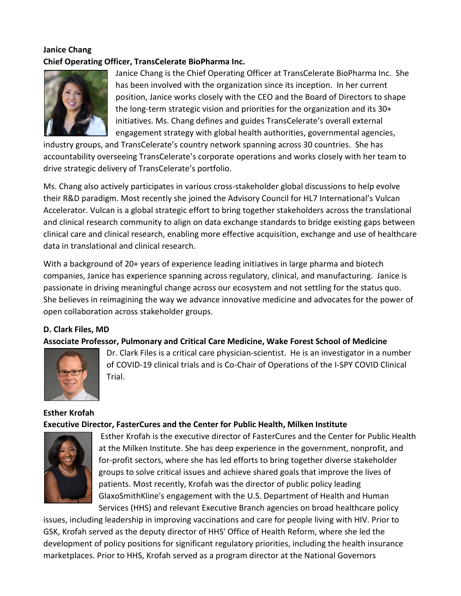# **Janice Chang Chief Operating Officer, TransCelerate BioPharma Inc.**



Janice Chang is the Chief Operating Officer at TransCelerate BioPharma Inc. She has been involved with the organization since its inception. In her current position, Janice works closely with the CEO and the Board of Directors to shape the long-term strategic vision and priorities for the organization and its 30+ initiatives. Ms. Chang defines and guides TransCelerate's overall external engagement strategy with global health authorities, governmental agencies,

industry groups, and TransCelerate's country network spanning across 30 countries. She has accountability overseeing TransCelerate's corporate operations and works closely with her team to drive strategic delivery of TransCelerate's portfolio.

Ms. Chang also actively participates in various cross-stakeholder global discussions to help evolve their R&D paradigm. Most recently she joined the Advisory Council for HL7 International's Vulcan Accelerator. Vulcan is a global strategic effort to bring together stakeholders across the translational and clinical research community to align on data exchange standards to bridge existing gaps between clinical care and clinical research, enabling more effective acquisition, exchange and use of healthcare data in translational and clinical research.

With a background of 20+ years of experience leading initiatives in large pharma and biotech companies, Janice has experience spanning across regulatory, clinical, and manufacturing. Janice is passionate in driving meaningful change across our ecosystem and not settling for the status quo. She believes in reimagining the way we advance innovative medicine and advocates for the power of open collaboration across stakeholder groups.

#### **D. Clark Files, MD**

#### **Associate Professor, Pulmonary and Critical Care Medicine, Wake Forest School of Medicine**



Dr. Clark Files is a critical care physician-scientist. He is an investigator in a number of COVID-19 clinical trials and is Co-Chair of Operations of the I-SPY COVID Clinical Trial.

#### **Esther Krofah Executive Director, FasterCures and the Center for Public Health, Milken Institute**



Esther Krofah is the executive director of FasterCures and the Center for Public Health at the Milken Institute. She has deep experience in the government, nonprofit, and for-profit sectors, where she has led efforts to bring together diverse stakeholder groups to solve critical issues and achieve shared goals that improve the lives of patients. Most recently, Krofah was the director of public policy leading GlaxoSmithKline's engagement with the U.S. Department of Health and Human Services (HHS) and relevant Executive Branch agencies on broad healthcare policy

issues, including leadership in improving vaccinations and care for people living with HIV. Prior to GSK, Krofah served as the deputy director of HHS' Office of Health Reform, where she led the development of policy positions for significant regulatory priorities, including the health insurance marketplaces. Prior to HHS, Krofah served as a program director at the National Governors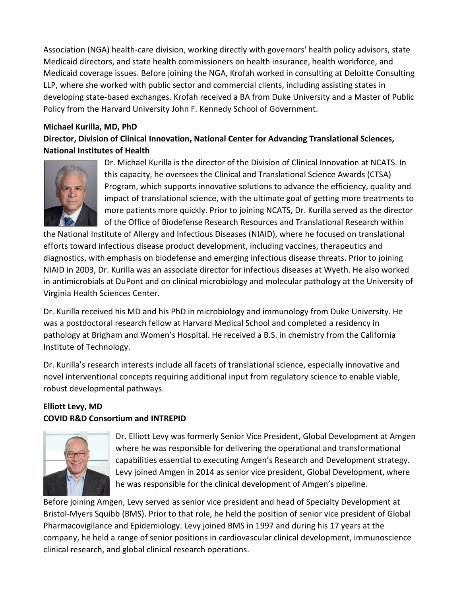Association (NGA) health-care division, working directly with governors' health policy advisors, state Medicaid directors, and state health commissioners on health insurance, health workforce, and Medicaid coverage issues. Before joining the NGA, Krofah worked in consulting at Deloitte Consulting LLP, where she worked with public sector and commercial clients, including assisting states in developing state-based exchanges. Krofah received a BA from Duke University and a Master of Public Policy from the Harvard University John F. Kennedy School of Government.

## **Michael Kurilla, MD, PhD Director, Division of Clinical Innovation, National Center for Advancing Translational Sciences, National Institutes of Health**



Dr. Michael Kurilla is the director of the Division of Clinical Innovation at NCATS. In this capacity, he oversees the Clinical and Translational Science Awards (CTSA) Program, which supports innovative solutions to advance the efficiency, quality and impact of translational science, with the ultimate goal of getting more treatments to more patients more quickly. Prior to joining NCATS, Dr. Kurilla served as the director of the Office of Biodefense Research Resources and Translational Research within

the National Institute of Allergy and Infectious Diseases (NIAID), where he focused on translational efforts toward infectious disease product development, including vaccines, therapeutics and diagnostics, with emphasis on biodefense and emerging infectious disease threats. Prior to joining NIAID in 2003, Dr. Kurilla was an associate director for infectious diseases at Wyeth. He also worked in antimicrobials at DuPont and on clinical microbiology and molecular pathology at the University of Virginia Health Sciences Center.

Dr. Kurilla received his MD and his PhD in microbiology and immunology from Duke University. He was a postdoctoral research fellow at Harvard Medical School and completed a residency in pathology at Brigham and Women's Hospital. He received a B.S. in chemistry from the California Institute of Technology.

Dr. Kurilla's research interests include all facets of translational science, especially innovative and novel interventional concepts requiring additional input from regulatory science to enable viable, robust developmental pathways.

## **Elliott Levy, MD COVID R&D Consortium and INTREPID**



Dr. Elliott Levy was formerly Senior Vice President, Global Development at Amgen where he was responsible for delivering the operational and transformational capabilities essential to executing Amgen's Research and Development strategy. Levy joined Amgen in 2014 as senior vice president, Global Development, where he was responsible for the clinical development of Amgen's pipeline.

Before joining Amgen, Levy served as senior vice president and head of Specialty Development at Bristol-Myers Squibb (BMS). Prior to that role, he held the position of senior vice president of Global Pharmacovigilance and Epidemiology. Levy joined BMS in 1997 and during his 17 years at the company, he held a range of senior positions in cardiovascular clinical development, immunoscience clinical research, and global clinical research operations.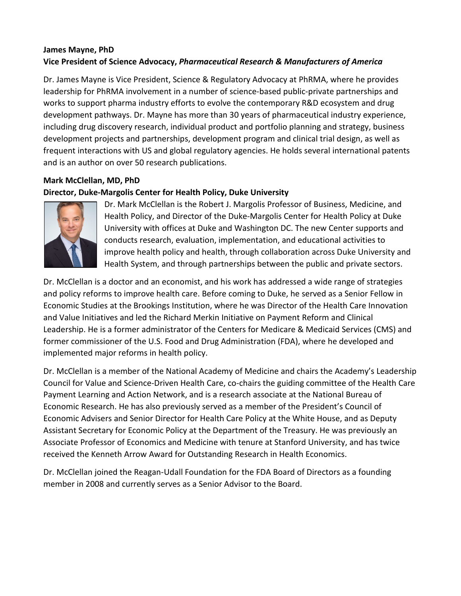# **James Mayne, PhD Vice President of Science Advocacy,** *Pharmaceutical Research & Manufacturers of America*

Dr. James Mayne is Vice President, Science & Regulatory Advocacy at PhRMA, where he provides leadership for PhRMA involvement in a number of science-based public-private partnerships and works to support pharma industry efforts to evolve the contemporary R&D ecosystem and drug development pathways. Dr. Mayne has more than 30 years of pharmaceutical industry experience, including drug discovery research, individual product and portfolio planning and strategy, business development projects and partnerships, development program and clinical trial design, as well as frequent interactions with US and global regulatory agencies. He holds several international patents and is an author on over 50 research publications.

## **Mark McClellan, MD, PhD**

#### **Director, Duke-Margolis Center for Health Policy, Duke University**



Dr. Mark McClellan is the Robert J. Margolis Professor of Business, Medicine, and Health Policy, and Director of the Duke-Margolis Center for Health Policy at Duke University with offices at Duke and Washington DC. The new Center supports and conducts research, evaluation, implementation, and educational activities to improve health policy and health, through collaboration across Duke University and Health System, and through partnerships between the public and private sectors.

Dr. McClellan is a doctor and an economist, and his work has addressed a wide range of strategies and policy reforms to improve health care. Before coming to Duke, he served as a Senior Fellow in Economic Studies at the Brookings Institution, where he was Director of the Health Care Innovation and Value Initiatives and led the Richard Merkin Initiative on Payment Reform and Clinical Leadership. He is a former administrator of the Centers for Medicare & Medicaid Services (CMS) and former commissioner of the U.S. Food and Drug Administration (FDA), where he developed and implemented major reforms in health policy.

Dr. McClellan is a member of the National Academy of Medicine and chairs the Academy's Leadership Council for Value and Science-Driven Health Care, co-chairs the guiding committee of the Health Care Payment Learning and Action Network, and is a research associate at the National Bureau of Economic Research. He has also previously served as a member of the President's Council of Economic Advisers and Senior Director for Health Care Policy at the White House, and as Deputy Assistant Secretary for Economic Policy at the Department of the Treasury. He was previously an Associate Professor of Economics and Medicine with tenure at Stanford University, and has twice received the Kenneth Arrow Award for Outstanding Research in Health Economics.

Dr. McClellan joined the Reagan-Udall Foundation for the FDA Board of Directors as a founding member in 2008 and currently serves as a Senior Advisor to the Board.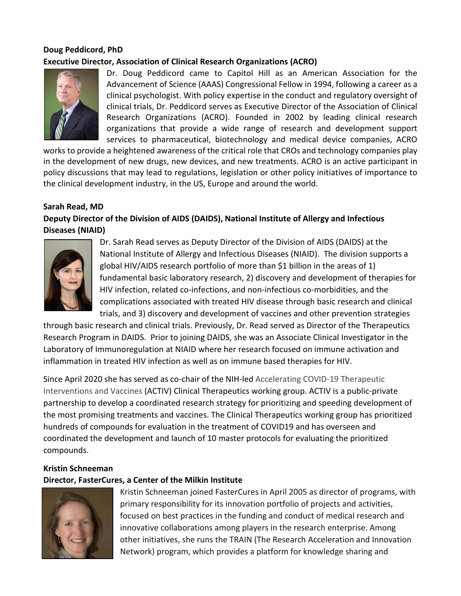# **Doug Peddicord, PhD Executive Director, Association of Clinical Research Organizations (ACRO)**



Dr. Doug Peddicord came to Capitol Hill as an American Association for the Advancement of Science (AAAS) Congressional Fellow in 1994, following a career as a clinical psychologist. With policy expertise in the conduct and regulatory oversight of clinical trials, Dr. Peddicord serves as Executive Director of the Association of Clinical Research Organizations (ACRO). Founded in 2002 by leading clinical research organizations that provide a wide range of research and development support services to pharmaceutical, biotechnology and medical device companies, ACRO

works to provide a heightened awareness of the critical role that CROs and technology companies play in the development of new drugs, new devices, and new treatments. ACRO is an active participant in policy discussions that may lead to regulations, legislation or other policy initiatives of importance to the clinical development industry, in the US, Europe and around the world.

#### **Sarah Read, MD**

# **Deputy Director of the Division of AIDS (DAIDS), National Institute of Allergy and Infectious Diseases (NIAID)**



Dr. Sarah Read serves as Deputy Director of the Division of AIDS (DAIDS) at the National Institute of Allergy and Infectious Diseases (NIAID). The division supports a global HIV/AIDS research portfolio of more than \$1 billion in the areas of 1) fundamental basic laboratory research, 2) discovery and development of therapies for HIV infection, related co-infections, and non-infectious co-morbidities, and the complications associated with treated HIV disease through basic research and clinical trials, and 3) discovery and development of vaccines and other prevention strategies

through basic research and clinical trials. Previously, Dr. Read served as Director of the Therapeutics Research Program in DAIDS. Prior to joining DAIDS, she was an Associate Clinical Investigator in the Laboratory of Immunoregulation at NIAID where her research focused on immune activation and inflammation in treated HIV infection as well as on immune based therapies for HIV.

Since April 2020 she has served as co-chair of the NIH-led Accelerating COVID-19 Therapeutic Interventions and Vaccines (ACTIV) Clinical Therapeutics working group. ACTIV is a public-private partnership to develop a coordinated research strategy for prioritizing and speeding development of the most promising treatments and vaccines. The Clinical Therapeutics working group has prioritized hundreds of compounds for evaluation in the treatment of COVID19 and has overseen and coordinated the development and launch of 10 master protocols for evaluating the prioritized compounds.

## **Kristin Schneeman**

## **Director, FasterCures, a Center of the Milkin Institute**



Kristin Schneeman joined FasterCures in April 2005 as director of programs, with primary responsibility for its innovation portfolio of projects and activities, focused on best practices in the funding and conduct of medical research and innovative collaborations among players in the research enterprise. Among other initiatives, she runs the TRAIN (The Research Acceleration and Innovation Network) program, which provides a platform for knowledge sharing and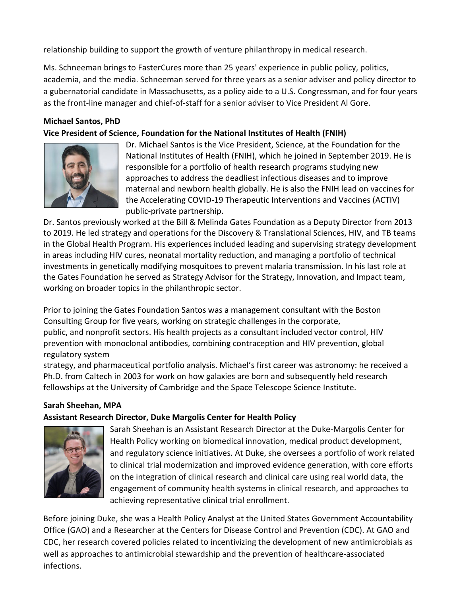relationship building to support the growth of venture philanthropy in medical research.

Ms. Schneeman brings to FasterCures more than 25 years' experience in public policy, politics, academia, and the media. Schneeman served for three years as a senior adviser and policy director to a gubernatorial candidate in Massachusetts, as a policy aide to a U.S. Congressman, and for four years as the front-line manager and chief-of-staff for a senior adviser to Vice President Al Gore.

#### **Michael Santos, PhD**

#### **Vice President of Science, Foundation for the National Institutes of Health (FNIH)**



Dr. Michael Santos is the Vice President, Science, at the Foundation for the National Institutes of Health (FNIH), which he joined in September 2019. He is responsible for a portfolio of health research programs studying new approaches to address the deadliest infectious diseases and to improve maternal and newborn health globally. He is also the FNIH lead on vaccines for the Accelerating COVID-19 Therapeutic Interventions and Vaccines (ACTIV) public-private partnership.

Dr. Santos previously worked at the Bill & Melinda Gates Foundation as a Deputy Director from 2013 to 2019. He led strategy and operations for the Discovery & Translational Sciences, HIV, and TB teams in the Global Health Program. His experiences included leading and supervising strategy development in areas including HIV cures, neonatal mortality reduction, and managing a portfolio of technical investments in genetically modifying mosquitoes to prevent malaria transmission. In his last role at the Gates Foundation he served as Strategy Advisor for the Strategy, Innovation, and Impact team, working on broader topics in the philanthropic sector.

Prior to joining the Gates Foundation Santos was a management consultant with the Boston Consulting Group for five years, working on strategic challenges in the corporate, public, and nonprofit sectors. His health projects as a consultant included vector control, HIV prevention with monoclonal antibodies, combining contraception and HIV prevention, global regulatory system

strategy, and pharmaceutical portfolio analysis. Michael's first career was astronomy: he received a Ph.D. from Caltech in 2003 for work on how galaxies are born and subsequently held research fellowships at the University of Cambridge and the Space Telescope Science Institute.

#### **Sarah Sheehan, MPA**

#### **Assistant Research Director, Duke Margolis Center for Health Policy**



Sarah Sheehan is an Assistant Research Director at the Duke-Margolis Center for Health Policy working on biomedical innovation, medical product development, and regulatory science initiatives. At Duke, she oversees a portfolio of work related to clinical trial modernization and improved evidence generation, with core efforts on the integration of clinical research and clinical care using real world data, the engagement of community health systems in clinical research, and approaches to achieving representative clinical trial enrollment.

Before joining Duke, she was a Health Policy Analyst at the United States Government Accountability Office (GAO) and a Researcher at the Centers for Disease Control and Prevention (CDC). At GAO and CDC, her research covered policies related to incentivizing the development of new antimicrobials as well as approaches to antimicrobial stewardship and the prevention of healthcare-associated infections.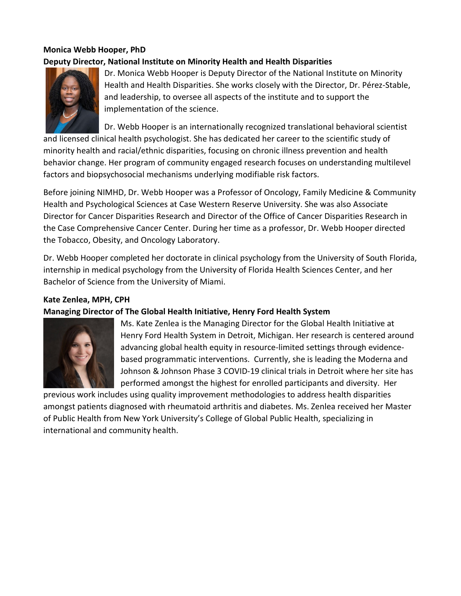# **Monica Webb Hooper, PhD Deputy Director, National Institute on Minority Health and Health Disparities**



Dr. Monica Webb Hooper is Deputy Director of the National Institute on Minority Health and Health Disparities. She works closely with the Director, Dr. Pérez-Stable, and leadership, to oversee all aspects of the institute and to support the implementation of the science.

Dr. Webb Hooper is an internationally recognized translational behavioral scientist

and licensed clinical health psychologist. She has dedicated her career to the scientific study of minority health and racial/ethnic disparities, focusing on chronic illness prevention and health behavior change. Her program of community engaged research focuses on understanding multilevel factors and biopsychosocial mechanisms underlying modifiable risk factors.

Before joining NIMHD, Dr. Webb Hooper was a Professor of Oncology, Family Medicine & Community Health and Psychological Sciences at Case Western Reserve University. She was also Associate Director for Cancer Disparities Research and Director of the Office of Cancer Disparities Research in the Case Comprehensive Cancer Center. During her time as a professor, Dr. Webb Hooper directed the Tobacco, Obesity, and Oncology Laboratory.

Dr. Webb Hooper completed her doctorate in clinical psychology from the University of South Florida, internship in medical psychology from the University of Florida Health Sciences Center, and her Bachelor of Science from the University of Miami.

### **Kate Zenlea, MPH, CPH**

## **Managing Director of The Global Health Initiative, Henry Ford Health System**



Ms. Kate Zenlea is the Managing Director for the Global Health Initiative at Henry Ford Health System in Detroit, Michigan. Her research is centered around advancing global health equity in resource-limited settings through evidencebased programmatic interventions. Currently, she is leading the Moderna and Johnson & Johnson Phase 3 COVID-19 clinical trials in Detroit where her site has performed amongst the highest for enrolled participants and diversity. Her

previous work includes using quality improvement methodologies to address health disparities amongst patients diagnosed with rheumatoid arthritis and diabetes. Ms. Zenlea received her Master of Public Health from New York University's College of Global Public Health, specializing in international and community health.